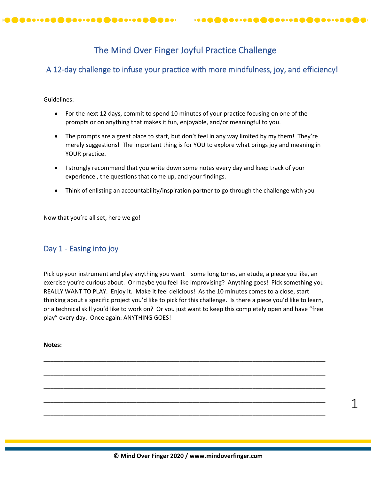

A 12-day challenge to infuse your practice with more mindfulness, joy, and efficiency!

Guidelines:

- For the next 12 days, commit to spend 10 minutes of your practice focusing on one of the prompts or on anything that makes it fun, enjoyable, and/or meaningful to you.
- The prompts are a great place to start, but don't feel in any way limited by my them! They're merely suggestions! The important thing is for YOU to explore what brings joy and meaning in YOUR practice.
- I strongly recommend that you write down some notes every day and keep track of your experience , the questions that come up, and your findings.
- Think of enlisting an accountability/inspiration partner to go through the challenge with you

Now that you're all set, here we go!

## Day 1 - Easing into joy

Pick up your instrument and play anything you want – some long tones, an etude, a piece you like, an exercise you're curious about. Or maybe you feel like improvising? Anything goes! Pick something you REALLY WANT TO PLAY. Enjoy it. Make it feel delicious! As the 10 minutes comes to a close, start thinking about a specific project you'd like to pick for this challenge. Is there a piece you'd like to learn, or a technical skill you'd like to work on? Or you just want to keep this completely open and have "free play" every day. Once again: ANYTHING GOES!

\_\_\_\_\_\_\_\_\_\_\_\_\_\_\_\_\_\_\_\_\_\_\_\_\_\_\_\_\_\_\_\_\_\_\_\_\_\_\_\_\_\_\_\_\_\_\_\_\_\_\_\_\_\_\_\_\_\_\_\_\_\_\_\_\_\_\_\_\_\_\_\_\_\_\_\_\_\_\_\_\_\_\_\_\_

\_\_\_\_\_\_\_\_\_\_\_\_\_\_\_\_\_\_\_\_\_\_\_\_\_\_\_\_\_\_\_\_\_\_\_\_\_\_\_\_\_\_\_\_\_\_\_\_\_\_\_\_\_\_\_\_\_\_\_\_\_\_\_\_\_\_\_\_\_\_\_\_\_\_\_\_\_\_\_\_\_\_\_\_\_

\_\_\_\_\_\_\_\_\_\_\_\_\_\_\_\_\_\_\_\_\_\_\_\_\_\_\_\_\_\_\_\_\_\_\_\_\_\_\_\_\_\_\_\_\_\_\_\_\_\_\_\_\_\_\_\_\_\_\_\_\_\_\_\_\_\_\_\_\_\_\_\_\_\_\_\_\_\_\_\_\_\_\_\_\_

\_\_\_\_\_\_\_\_\_\_\_\_\_\_\_\_\_\_\_\_\_\_\_\_\_\_\_\_\_\_\_\_\_\_\_\_\_\_\_\_\_\_\_\_\_\_\_\_\_\_\_\_\_\_\_\_\_\_\_\_\_\_\_\_\_\_\_\_\_\_\_\_\_\_\_\_\_\_\_\_\_\_\_\_\_

\_\_\_\_\_\_\_\_\_\_\_\_\_\_\_\_\_\_\_\_\_\_\_\_\_\_\_\_\_\_\_\_\_\_\_\_\_\_\_\_\_\_\_\_\_\_\_\_\_\_\_\_\_\_\_\_\_\_\_\_\_\_\_\_\_\_\_\_\_\_\_\_\_\_\_\_\_\_\_\_\_\_\_\_\_

**Notes:**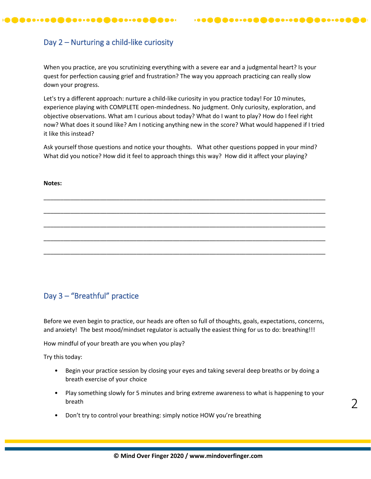# Day 2 – Nurturing a child-like curiosity

When you practice, are you scrutinizing everything with a severe ear and a judgmental heart? Is your quest for perfection causing grief and frustration? The way you approach practicing can really slow down your progress.

..............................

Let's try a different approach: nurture a child-like curiosity in you practice today! For 10 minutes, experience playing with COMPLETE open-mindedness. No judgment. Only curiosity, exploration, and objective observations. What am I curious about today? What do I want to play? How do I feel right now? What does it sound like? Am I noticing anything new in the score? What would happened if I tried it like this instead?

Ask yourself those questions and notice your thoughts. What other questions popped in your mind? What did you notice? How did it feel to approach things this way? How did it affect your playing?

\_\_\_\_\_\_\_\_\_\_\_\_\_\_\_\_\_\_\_\_\_\_\_\_\_\_\_\_\_\_\_\_\_\_\_\_\_\_\_\_\_\_\_\_\_\_\_\_\_\_\_\_\_\_\_\_\_\_\_\_\_\_\_\_\_\_\_\_\_\_\_\_\_\_\_\_\_\_\_\_\_\_\_\_\_

\_\_\_\_\_\_\_\_\_\_\_\_\_\_\_\_\_\_\_\_\_\_\_\_\_\_\_\_\_\_\_\_\_\_\_\_\_\_\_\_\_\_\_\_\_\_\_\_\_\_\_\_\_\_\_\_\_\_\_\_\_\_\_\_\_\_\_\_\_\_\_\_\_\_\_\_\_\_\_\_\_\_\_\_\_

\_\_\_\_\_\_\_\_\_\_\_\_\_\_\_\_\_\_\_\_\_\_\_\_\_\_\_\_\_\_\_\_\_\_\_\_\_\_\_\_\_\_\_\_\_\_\_\_\_\_\_\_\_\_\_\_\_\_\_\_\_\_\_\_\_\_\_\_\_\_\_\_\_\_\_\_\_\_\_\_\_\_\_\_\_

\_\_\_\_\_\_\_\_\_\_\_\_\_\_\_\_\_\_\_\_\_\_\_\_\_\_\_\_\_\_\_\_\_\_\_\_\_\_\_\_\_\_\_\_\_\_\_\_\_\_\_\_\_\_\_\_\_\_\_\_\_\_\_\_\_\_\_\_\_\_\_\_\_\_\_\_\_\_\_\_\_\_\_\_\_

\_\_\_\_\_\_\_\_\_\_\_\_\_\_\_\_\_\_\_\_\_\_\_\_\_\_\_\_\_\_\_\_\_\_\_\_\_\_\_\_\_\_\_\_\_\_\_\_\_\_\_\_\_\_\_\_\_\_\_\_\_\_\_\_\_\_\_\_\_\_\_\_\_\_\_\_\_\_\_\_\_\_\_\_\_

**Notes:** 

# Day 3 – "Breathful" practice

Before we even begin to practice, our heads are often so full of thoughts, goals, expectations, concerns, and anxiety! The best mood/mindset regulator is actually the easiest thing for us to do: breathing!!!

How mindful of your breath are you when you play?

Try this today:

- Begin your practice session by closing your eyes and taking several deep breaths or by doing a breath exercise of your choice
- Play something slowly for 5 minutes and bring extreme awareness to what is happening to your breath
- Don't try to control your breathing: simply notice HOW you're breathing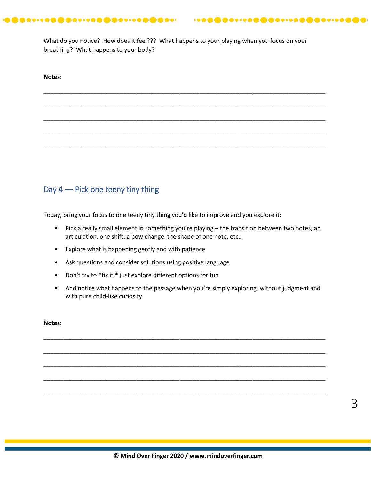What do you notice? How does it feel??? What happens to your playing when you focus on your breathing? What happens to your body?

\_\_\_\_\_\_\_\_\_\_\_\_\_\_\_\_\_\_\_\_\_\_\_\_\_\_\_\_\_\_\_\_\_\_\_\_\_\_\_\_\_\_\_\_\_\_\_\_\_\_\_\_\_\_\_\_\_\_\_\_\_\_\_\_\_\_\_\_\_\_\_\_\_\_\_\_\_\_\_\_\_\_\_\_\_

\_\_\_\_\_\_\_\_\_\_\_\_\_\_\_\_\_\_\_\_\_\_\_\_\_\_\_\_\_\_\_\_\_\_\_\_\_\_\_\_\_\_\_\_\_\_\_\_\_\_\_\_\_\_\_\_\_\_\_\_\_\_\_\_\_\_\_\_\_\_\_\_\_\_\_\_\_\_\_\_\_\_\_\_\_

\_\_\_\_\_\_\_\_\_\_\_\_\_\_\_\_\_\_\_\_\_\_\_\_\_\_\_\_\_\_\_\_\_\_\_\_\_\_\_\_\_\_\_\_\_\_\_\_\_\_\_\_\_\_\_\_\_\_\_\_\_\_\_\_\_\_\_\_\_\_\_\_\_\_\_\_\_\_\_\_\_\_\_\_\_

\_\_\_\_\_\_\_\_\_\_\_\_\_\_\_\_\_\_\_\_\_\_\_\_\_\_\_\_\_\_\_\_\_\_\_\_\_\_\_\_\_\_\_\_\_\_\_\_\_\_\_\_\_\_\_\_\_\_\_\_\_\_\_\_\_\_\_\_\_\_\_\_\_\_\_\_\_\_\_\_\_\_\_\_\_

\_\_\_\_\_\_\_\_\_\_\_\_\_\_\_\_\_\_\_\_\_\_\_\_\_\_\_\_\_\_\_\_\_\_\_\_\_\_\_\_\_\_\_\_\_\_\_\_\_\_\_\_\_\_\_\_\_\_\_\_\_\_\_\_\_\_\_\_\_\_\_\_\_\_\_\_\_\_\_\_\_\_\_\_\_

#### **Notes:**

# Day 4 –– Pick one teeny tiny thing

Today, bring your focus to one teeny tiny thing you'd like to improve and you explore it:

- Pick a really small element in something you're playing the transition between two notes, an articulation, one shift, a bow change, the shape of one note, etc…
- Explore what is happening gently and with patience
- Ask questions and consider solutions using positive language
- Don't try to \*fix it,\* just explore different options for fun
- And notice what happens to the passage when you're simply exploring, without judgment and with pure child-like curiosity

\_\_\_\_\_\_\_\_\_\_\_\_\_\_\_\_\_\_\_\_\_\_\_\_\_\_\_\_\_\_\_\_\_\_\_\_\_\_\_\_\_\_\_\_\_\_\_\_\_\_\_\_\_\_\_\_\_\_\_\_\_\_\_\_\_\_\_\_\_\_\_\_\_\_\_\_\_\_\_\_\_\_\_\_\_

\_\_\_\_\_\_\_\_\_\_\_\_\_\_\_\_\_\_\_\_\_\_\_\_\_\_\_\_\_\_\_\_\_\_\_\_\_\_\_\_\_\_\_\_\_\_\_\_\_\_\_\_\_\_\_\_\_\_\_\_\_\_\_\_\_\_\_\_\_\_\_\_\_\_\_\_\_\_\_\_\_\_\_\_\_

\_\_\_\_\_\_\_\_\_\_\_\_\_\_\_\_\_\_\_\_\_\_\_\_\_\_\_\_\_\_\_\_\_\_\_\_\_\_\_\_\_\_\_\_\_\_\_\_\_\_\_\_\_\_\_\_\_\_\_\_\_\_\_\_\_\_\_\_\_\_\_\_\_\_\_\_\_\_\_\_\_\_\_\_\_

\_\_\_\_\_\_\_\_\_\_\_\_\_\_\_\_\_\_\_\_\_\_\_\_\_\_\_\_\_\_\_\_\_\_\_\_\_\_\_\_\_\_\_\_\_\_\_\_\_\_\_\_\_\_\_\_\_\_\_\_\_\_\_\_\_\_\_\_\_\_\_\_\_\_\_\_\_\_\_\_\_\_\_\_\_

\_\_\_\_\_\_\_\_\_\_\_\_\_\_\_\_\_\_\_\_\_\_\_\_\_\_\_\_\_\_\_\_\_\_\_\_\_\_\_\_\_\_\_\_\_\_\_\_\_\_\_\_\_\_\_\_\_\_\_\_\_\_\_\_\_\_\_\_\_\_\_\_\_\_\_\_\_\_\_\_\_\_\_\_\_

**Notes:**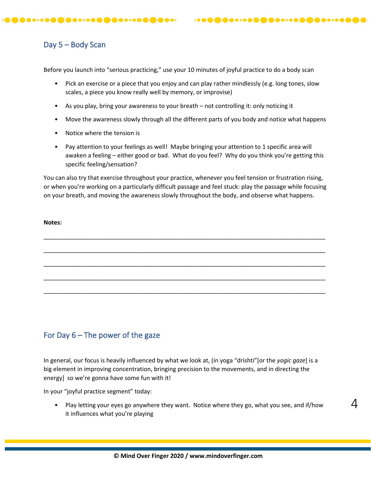## Day 5 – Body Scan

Before you launch into "serious practicing," use your 10 minutes of joyful practice to do a body scan

- Pick an exercise or a piece that you enjoy and can play rather mindlessly (e.g. long tones, slow scales, a piece you know really well by memory, or improvise)
- As you play, bring your awareness to your breath not controlling it: only noticing it
- Move the awareness slowly through all the different parts of you body and notice what happens
- Notice where the tension is
- Pay attention to your feelings as well! Maybe bringing your attention to 1 specific area will awaken a feeling – either good or bad. What do you feel? Why do you think you're getting this specific feeling/sensation?

You can also try that exercise throughout your practice, whenever you feel tension or frustration rising, or when you're working on a particularly difficult passage and feel stuck: play the passage while focusing on your breath, and moving the awareness slowly throughout the body, and observe what happens.

\_\_\_\_\_\_\_\_\_\_\_\_\_\_\_\_\_\_\_\_\_\_\_\_\_\_\_\_\_\_\_\_\_\_\_\_\_\_\_\_\_\_\_\_\_\_\_\_\_\_\_\_\_\_\_\_\_\_\_\_\_\_\_\_\_\_\_\_\_\_\_\_\_\_\_\_\_\_\_\_\_\_\_\_\_

\_\_\_\_\_\_\_\_\_\_\_\_\_\_\_\_\_\_\_\_\_\_\_\_\_\_\_\_\_\_\_\_\_\_\_\_\_\_\_\_\_\_\_\_\_\_\_\_\_\_\_\_\_\_\_\_\_\_\_\_\_\_\_\_\_\_\_\_\_\_\_\_\_\_\_\_\_\_\_\_\_\_\_\_\_

\_\_\_\_\_\_\_\_\_\_\_\_\_\_\_\_\_\_\_\_\_\_\_\_\_\_\_\_\_\_\_\_\_\_\_\_\_\_\_\_\_\_\_\_\_\_\_\_\_\_\_\_\_\_\_\_\_\_\_\_\_\_\_\_\_\_\_\_\_\_\_\_\_\_\_\_\_\_\_\_\_\_\_\_\_

\_\_\_\_\_\_\_\_\_\_\_\_\_\_\_\_\_\_\_\_\_\_\_\_\_\_\_\_\_\_\_\_\_\_\_\_\_\_\_\_\_\_\_\_\_\_\_\_\_\_\_\_\_\_\_\_\_\_\_\_\_\_\_\_\_\_\_\_\_\_\_\_\_\_\_\_\_\_\_\_\_\_\_\_\_

\_\_\_\_\_\_\_\_\_\_\_\_\_\_\_\_\_\_\_\_\_\_\_\_\_\_\_\_\_\_\_\_\_\_\_\_\_\_\_\_\_\_\_\_\_\_\_\_\_\_\_\_\_\_\_\_\_\_\_\_\_\_\_\_\_\_\_\_\_\_\_\_\_\_\_\_\_\_\_\_\_\_\_\_\_

**Notes:** 

# For Day 6 – The power of the gaze

In general, our focus is heavily influenced by what we look at, (in yoga "drishti"[or the *yogic gaze*] is a big element in improving concentration, bringing precision to the movements, and in directing the energy] so we're gonna have some fun with it!

In your "joyful practice segment" today:

• Play letting your eyes go anywhere they want. Notice where they go, what you see, and if/how it influences what you're playing

 $\Delta$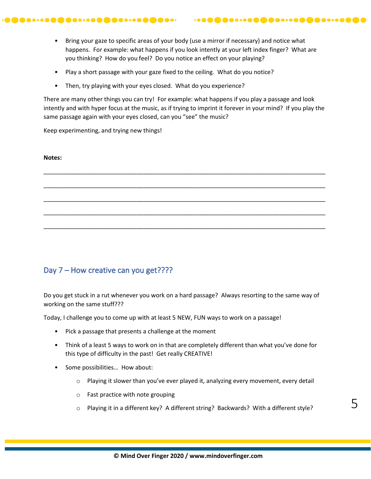• Bring your gaze to specific areas of your body (use a mirror if necessary) and notice what happens. For example: what happens if you look intently at your left index finger? What are you thinking? How do you feel? Do you notice an effect on your playing?

- Play a short passage with your gaze fixed to the ceiling. What do you notice?
- Then, try playing with your eyes closed. What do you experience?

There are many other things you can try! For example: what happens if you play a passage and look intently and with hyper focus at the music, as if trying to imprint it forever in your mind? If you play the same passage again with your eyes closed, can you "see" the music?

Keep experimenting, and trying new things!

# **Notes:**  \_\_\_\_\_\_\_\_\_\_\_\_\_\_\_\_\_\_\_\_\_\_\_\_\_\_\_\_\_\_\_\_\_\_\_\_\_\_\_\_\_\_\_\_\_\_\_\_\_\_\_\_\_\_\_\_\_\_\_\_\_\_\_\_\_\_\_\_\_\_\_\_\_\_\_\_\_\_\_\_\_\_\_\_\_ \_\_\_\_\_\_\_\_\_\_\_\_\_\_\_\_\_\_\_\_\_\_\_\_\_\_\_\_\_\_\_\_\_\_\_\_\_\_\_\_\_\_\_\_\_\_\_\_\_\_\_\_\_\_\_\_\_\_\_\_\_\_\_\_\_\_\_\_\_\_\_\_\_\_\_\_\_\_\_\_\_\_\_\_\_ \_\_\_\_\_\_\_\_\_\_\_\_\_\_\_\_\_\_\_\_\_\_\_\_\_\_\_\_\_\_\_\_\_\_\_\_\_\_\_\_\_\_\_\_\_\_\_\_\_\_\_\_\_\_\_\_\_\_\_\_\_\_\_\_\_\_\_\_\_\_\_\_\_\_\_\_\_\_\_\_\_\_\_\_\_ \_\_\_\_\_\_\_\_\_\_\_\_\_\_\_\_\_\_\_\_\_\_\_\_\_\_\_\_\_\_\_\_\_\_\_\_\_\_\_\_\_\_\_\_\_\_\_\_\_\_\_\_\_\_\_\_\_\_\_\_\_\_\_\_\_\_\_\_\_\_\_\_\_\_\_\_\_\_\_\_\_\_\_\_\_ \_\_\_\_\_\_\_\_\_\_\_\_\_\_\_\_\_\_\_\_\_\_\_\_\_\_\_\_\_\_\_\_\_\_\_\_\_\_\_\_\_\_\_\_\_\_\_\_\_\_\_\_\_\_\_\_\_\_\_\_\_\_\_\_\_\_\_\_\_\_\_\_\_\_\_\_\_\_\_\_\_\_\_\_\_

# Day 7 – How creative can you get????

Do you get stuck in a rut whenever you work on a hard passage? Always resorting to the same way of working on the same stuff???

Today, I challenge you to come up with at least 5 NEW, FUN ways to work on a passage!

- Pick a passage that presents a challenge at the moment
- Think of a least 5 ways to work on in that are completely different than what you've done for this type of difficulty in the past! Get really CREATIVE!
- Some possibilities... How about:
	- o Playing it slower than you've ever played it, analyzing every movement, every detail
	- o Fast practice with note grouping
	- o Playing it in a different key? A different string? Backwards? With a different style?

5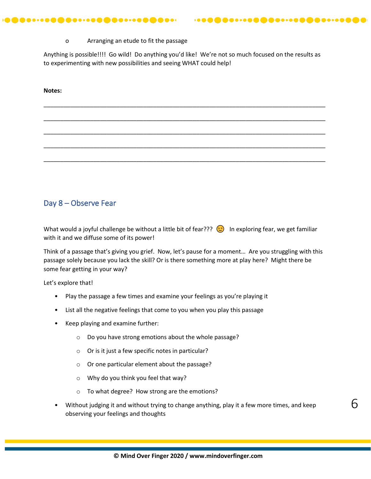#### o Arranging an etude to fit the passage

Anything is possible!!!! Go wild! Do anything you'd like! We're not so much focused on the results as to experimenting with new possibilities and seeing WHAT could help!

\_\_\_\_\_\_\_\_\_\_\_\_\_\_\_\_\_\_\_\_\_\_\_\_\_\_\_\_\_\_\_\_\_\_\_\_\_\_\_\_\_\_\_\_\_\_\_\_\_\_\_\_\_\_\_\_\_\_\_\_\_\_\_\_\_\_\_\_\_\_\_\_\_\_\_\_\_\_\_\_\_\_\_\_\_

\_\_\_\_\_\_\_\_\_\_\_\_\_\_\_\_\_\_\_\_\_\_\_\_\_\_\_\_\_\_\_\_\_\_\_\_\_\_\_\_\_\_\_\_\_\_\_\_\_\_\_\_\_\_\_\_\_\_\_\_\_\_\_\_\_\_\_\_\_\_\_\_\_\_\_\_\_\_\_\_\_\_\_\_\_

\_\_\_\_\_\_\_\_\_\_\_\_\_\_\_\_\_\_\_\_\_\_\_\_\_\_\_\_\_\_\_\_\_\_\_\_\_\_\_\_\_\_\_\_\_\_\_\_\_\_\_\_\_\_\_\_\_\_\_\_\_\_\_\_\_\_\_\_\_\_\_\_\_\_\_\_\_\_\_\_\_\_\_\_\_

\_\_\_\_\_\_\_\_\_\_\_\_\_\_\_\_\_\_\_\_\_\_\_\_\_\_\_\_\_\_\_\_\_\_\_\_\_\_\_\_\_\_\_\_\_\_\_\_\_\_\_\_\_\_\_\_\_\_\_\_\_\_\_\_\_\_\_\_\_\_\_\_\_\_\_\_\_\_\_\_\_\_\_\_\_

\_\_\_\_\_\_\_\_\_\_\_\_\_\_\_\_\_\_\_\_\_\_\_\_\_\_\_\_\_\_\_\_\_\_\_\_\_\_\_\_\_\_\_\_\_\_\_\_\_\_\_\_\_\_\_\_\_\_\_\_\_\_\_\_\_\_\_\_\_\_\_\_\_\_\_\_\_\_\_\_\_\_\_\_\_

**Notes:** 

### Day 8 – Observe Fear

What would a joyful challenge be without a little bit of fear???  $\bigodot$  In exploring fear, we get familiar with it and we diffuse some of its power!

Think of a passage that's giving you grief. Now, let's pause for a moment… Are you struggling with this passage solely because you lack the skill? Or is there something more at play here? Might there be some fear getting in your way?

Let's explore that!

- Play the passage a few times and examine your feelings as you're playing it
- List all the negative feelings that come to you when you play this passage
- Keep playing and examine further:
	- o Do you have strong emotions about the whole passage?
	- o Or is it just a few specific notes in particular?
	- o Or one particular element about the passage?
	- o Why do you think you feel that way?
	- o To what degree? How strong are the emotions?
- Without judging it and without trying to change anything, play it a few more times, and keep observing your feelings and thoughts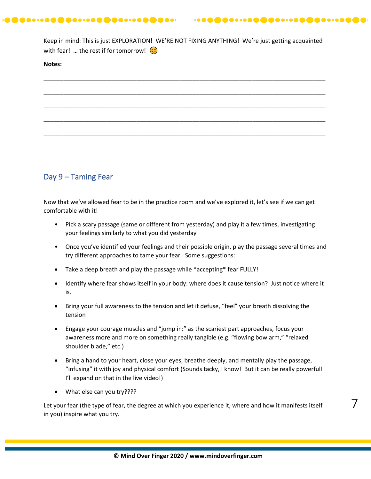| Keep in mind: This is just EXPLORATION! WE'RE NOT FIXING ANYTHING! We're just getting acquainted |  |
|--------------------------------------------------------------------------------------------------|--|
| with fear!  the rest if for tomorrow! $\bigcirc$                                                 |  |

...............................

#### **Notes:**

## Day 9 – Taming Fear

.............................

Now that we've allowed fear to be in the practice room and we've explored it, let's see if we can get comfortable with it!

- Pick a scary passage (same or different from yesterday) and play it a few times, investigating your feelings similarly to what you did yesterday
- Once you've identified your feelings and their possible origin, play the passage several times and try different approaches to tame your fear. Some suggestions:
- Take a deep breath and play the passage while \*accepting\* fear FULLY!
- Identify where fear shows itself in your body: where does it cause tension? Just notice where it is.
- Bring your full awareness to the tension and let it defuse, "feel" your breath dissolving the tension
- Engage your courage muscles and "jump in:" as the scariest part approaches, focus your awareness more and more on something really tangible (e.g. "flowing bow arm," "relaxed shoulder blade," etc.)
- Bring a hand to your heart, close your eyes, breathe deeply, and mentally play the passage, "infusing" it with joy and physical comfort (Sounds tacky, I know! But it can be really powerful! I'll expand on that in the live video!)
- What else can you try????

Let your fear (the type of fear, the degree at which you experience it, where and how it manifests itself in you) inspire what you try.

7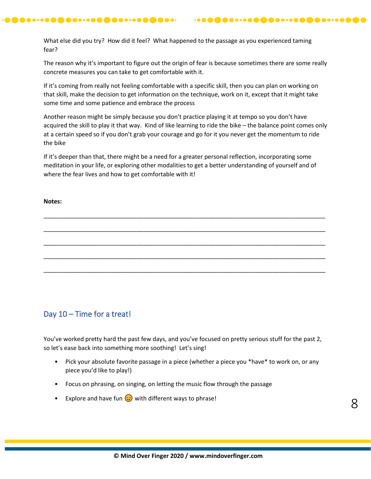What else did you try? How did it feel? What happened to the passage as you experienced taming fear?

The reason why it's important to figure out the origin of fear is because sometimes there are some really concrete measures you can take to get comfortable with it.

If it's coming from really not feeling comfortable with a specific skill, then you can plan on working on that skill, make the decision to get information on the technique, work on it, except that it might take some time and some patience and embrace the process

Another reason might be simply because you don't practice playing it at tempo so you don't have acquired the skill to play it that way. Kind of like learning to ride the bike – the balance point comes only at a certain speed so if you don't grab your courage and go for it you never get the momentum to ride the bike

If it's deeper than that, there might be a need for a greater personal reflection, incorporating some meditation in your life, or exploring other modalities to get a better understanding of yourself and of where the fear lives and how to get comfortable with it!

\_\_\_\_\_\_\_\_\_\_\_\_\_\_\_\_\_\_\_\_\_\_\_\_\_\_\_\_\_\_\_\_\_\_\_\_\_\_\_\_\_\_\_\_\_\_\_\_\_\_\_\_\_\_\_\_\_\_\_\_\_\_\_\_\_\_\_\_\_\_\_\_\_\_\_\_\_\_\_\_\_\_\_\_\_

\_\_\_\_\_\_\_\_\_\_\_\_\_\_\_\_\_\_\_\_\_\_\_\_\_\_\_\_\_\_\_\_\_\_\_\_\_\_\_\_\_\_\_\_\_\_\_\_\_\_\_\_\_\_\_\_\_\_\_\_\_\_\_\_\_\_\_\_\_\_\_\_\_\_\_\_\_\_\_\_\_\_\_\_\_

\_\_\_\_\_\_\_\_\_\_\_\_\_\_\_\_\_\_\_\_\_\_\_\_\_\_\_\_\_\_\_\_\_\_\_\_\_\_\_\_\_\_\_\_\_\_\_\_\_\_\_\_\_\_\_\_\_\_\_\_\_\_\_\_\_\_\_\_\_\_\_\_\_\_\_\_\_\_\_\_\_\_\_\_\_

\_\_\_\_\_\_\_\_\_\_\_\_\_\_\_\_\_\_\_\_\_\_\_\_\_\_\_\_\_\_\_\_\_\_\_\_\_\_\_\_\_\_\_\_\_\_\_\_\_\_\_\_\_\_\_\_\_\_\_\_\_\_\_\_\_\_\_\_\_\_\_\_\_\_\_\_\_\_\_\_\_\_\_\_\_

\_\_\_\_\_\_\_\_\_\_\_\_\_\_\_\_\_\_\_\_\_\_\_\_\_\_\_\_\_\_\_\_\_\_\_\_\_\_\_\_\_\_\_\_\_\_\_\_\_\_\_\_\_\_\_\_\_\_\_\_\_\_\_\_\_\_\_\_\_\_\_\_\_\_\_\_\_\_\_\_\_\_\_\_\_

**Notes:** 

# Day 10 – Time for a treat!

You've worked pretty hard the past few days, and you've focused on pretty serious stuff for the past 2, so let's ease back into something more soothing! Let's sing!

- Pick your absolute favorite passage in a piece (whether a piece you \*have\* to work on, or any piece you'd like to play!)
- Focus on phrasing, on singing, on letting the music flow through the passage
- Explore and have fun  $\odot$  with different ways to phrase!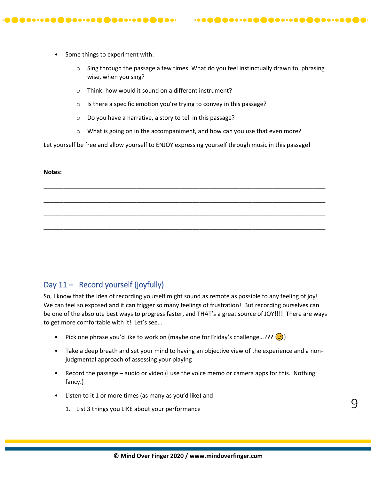- Some things to experiment with:
	- $\circ$  Sing through the passage a few times. What do you feel instinctually drawn to, phrasing wise, when you sing?
	- o Think: how would it sound on a different instrument?
	- o Is there a specific emotion you're trying to convey in this passage?
	- o Do you have a narrative, a story to tell in this passage?
	- o What is going on in the accompaniment, and how can you use that even more?

Let yourself be free and allow yourself to ENJOY expressing yourself through music in this passage!

\_\_\_\_\_\_\_\_\_\_\_\_\_\_\_\_\_\_\_\_\_\_\_\_\_\_\_\_\_\_\_\_\_\_\_\_\_\_\_\_\_\_\_\_\_\_\_\_\_\_\_\_\_\_\_\_\_\_\_\_\_\_\_\_\_\_\_\_\_\_\_\_\_\_\_\_\_\_\_\_\_\_\_\_\_

\_\_\_\_\_\_\_\_\_\_\_\_\_\_\_\_\_\_\_\_\_\_\_\_\_\_\_\_\_\_\_\_\_\_\_\_\_\_\_\_\_\_\_\_\_\_\_\_\_\_\_\_\_\_\_\_\_\_\_\_\_\_\_\_\_\_\_\_\_\_\_\_\_\_\_\_\_\_\_\_\_\_\_\_\_

\_\_\_\_\_\_\_\_\_\_\_\_\_\_\_\_\_\_\_\_\_\_\_\_\_\_\_\_\_\_\_\_\_\_\_\_\_\_\_\_\_\_\_\_\_\_\_\_\_\_\_\_\_\_\_\_\_\_\_\_\_\_\_\_\_\_\_\_\_\_\_\_\_\_\_\_\_\_\_\_\_\_\_\_\_

\_\_\_\_\_\_\_\_\_\_\_\_\_\_\_\_\_\_\_\_\_\_\_\_\_\_\_\_\_\_\_\_\_\_\_\_\_\_\_\_\_\_\_\_\_\_\_\_\_\_\_\_\_\_\_\_\_\_\_\_\_\_\_\_\_\_\_\_\_\_\_\_\_\_\_\_\_\_\_\_\_\_\_\_\_

\_\_\_\_\_\_\_\_\_\_\_\_\_\_\_\_\_\_\_\_\_\_\_\_\_\_\_\_\_\_\_\_\_\_\_\_\_\_\_\_\_\_\_\_\_\_\_\_\_\_\_\_\_\_\_\_\_\_\_\_\_\_\_\_\_\_\_\_\_\_\_\_\_\_\_\_\_\_\_\_\_\_\_\_\_

#### **Notes:**

# Day  $11 -$  Record yourself (joyfully)

So, I know that the idea of recording yourself might sound as remote as possible to any feeling of joy! We can feel so exposed and it can trigger so many feelings of frustration! But recording ourselves can be one of the absolute best ways to progress faster, and THAT's a great source of JOY!!!! There are ways to get more comfortable with it! Let's see…

- Pick one phrase you'd like to work on (maybe one for Friday's challenge...???  $\binom{1}{2}$ )
- Take a deep breath and set your mind to having an objective view of the experience and a nonjudgmental approach of assessing your playing
- Record the passage audio or video (I use the voice memo or camera apps for this. Nothing fancy.)
- Listen to it 1 or more times (as many as you'd like) and:
	- 1. List 3 things you LIKE about your performance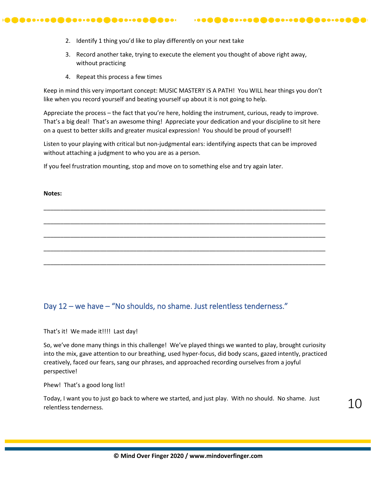- 2. Identify 1 thing you'd like to play differently on your next take
- 3. Record another take, trying to execute the element you thought of above right away, without practicing

4. Repeat this process a few times

Keep in mind this very important concept: MUSIC MASTERY IS A PATH! You WILL hear things you don't like when you record yourself and beating yourself up about it is not going to help.

Appreciate the process – the fact that you're here, holding the instrument, curious, ready to improve. That's a big deal! That's an awesome thing! Appreciate your dedication and your discipline to sit here on a quest to better skills and greater musical expression! You should be proud of yourself!

Listen to your playing with critical but non-judgmental ears: identifying aspects that can be improved without attaching a judgment to who you are as a person.

\_\_\_\_\_\_\_\_\_\_\_\_\_\_\_\_\_\_\_\_\_\_\_\_\_\_\_\_\_\_\_\_\_\_\_\_\_\_\_\_\_\_\_\_\_\_\_\_\_\_\_\_\_\_\_\_\_\_\_\_\_\_\_\_\_\_\_\_\_\_\_\_\_\_\_\_\_\_\_\_\_\_\_\_\_

\_\_\_\_\_\_\_\_\_\_\_\_\_\_\_\_\_\_\_\_\_\_\_\_\_\_\_\_\_\_\_\_\_\_\_\_\_\_\_\_\_\_\_\_\_\_\_\_\_\_\_\_\_\_\_\_\_\_\_\_\_\_\_\_\_\_\_\_\_\_\_\_\_\_\_\_\_\_\_\_\_\_\_\_\_

\_\_\_\_\_\_\_\_\_\_\_\_\_\_\_\_\_\_\_\_\_\_\_\_\_\_\_\_\_\_\_\_\_\_\_\_\_\_\_\_\_\_\_\_\_\_\_\_\_\_\_\_\_\_\_\_\_\_\_\_\_\_\_\_\_\_\_\_\_\_\_\_\_\_\_\_\_\_\_\_\_\_\_\_\_

\_\_\_\_\_\_\_\_\_\_\_\_\_\_\_\_\_\_\_\_\_\_\_\_\_\_\_\_\_\_\_\_\_\_\_\_\_\_\_\_\_\_\_\_\_\_\_\_\_\_\_\_\_\_\_\_\_\_\_\_\_\_\_\_\_\_\_\_\_\_\_\_\_\_\_\_\_\_\_\_\_\_\_\_\_

\_\_\_\_\_\_\_\_\_\_\_\_\_\_\_\_\_\_\_\_\_\_\_\_\_\_\_\_\_\_\_\_\_\_\_\_\_\_\_\_\_\_\_\_\_\_\_\_\_\_\_\_\_\_\_\_\_\_\_\_\_\_\_\_\_\_\_\_\_\_\_\_\_\_\_\_\_\_\_\_\_\_\_\_\_

If you feel frustration mounting, stop and move on to something else and try again later.

#### **Notes:**

## Day 12 – we have – "No shoulds, no shame. Just relentless tenderness."

That's it! We made it!!!! Last day!

So, we've done many things in this challenge! We've played things we wanted to play, brought curiosity into the mix, gave attention to our breathing, used hyper-focus, did body scans, gazed intently, practiced creatively, faced our fears, sang our phrases, and approached recording ourselves from a joyful perspective!

Phew! That's a good long list!

Today, I want you to just go back to where we started, and just play. With no should. No shame. Just relentless tenderness.